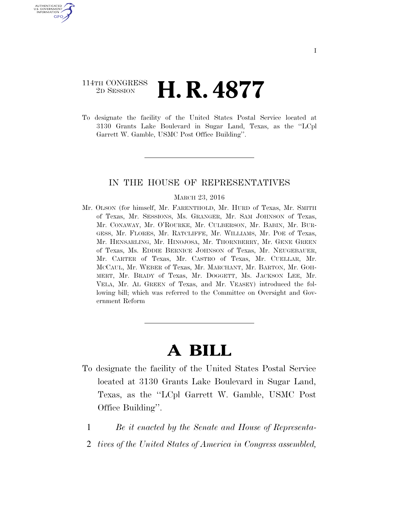## 114TH CONGRESS <sup>2D SESSION</sup> **H. R. 4877**

U.S. GOVERNMENT GPO

> To designate the facility of the United States Postal Service located at 3130 Grants Lake Boulevard in Sugar Land, Texas, as the ''LCpl Garrett W. Gamble, USMC Post Office Building''.

## IN THE HOUSE OF REPRESENTATIVES

## MARCH 23, 2016

Mr. OLSON (for himself, Mr. FARENTHOLD, Mr. HURD of Texas, Mr. SMITH of Texas, Mr. SESSIONS, Ms. GRANGER, Mr. SAM JOHNSON of Texas, Mr. CONAWAY, Mr. O'ROURKE, Mr. CULBERSON, Mr. BABIN, Mr. BUR-GESS, Mr. FLORES, Mr. RATCLIFFE, Mr. WILLIAMS, Mr. POE of Texas, Mr. HENSARLING, Mr. HINOJOSA, Mr. THORNBERRY, Mr. GENE GREEN of Texas, Ms. EDDIE BERNICE JOHNSON of Texas, Mr. NEUGEBAUER, Mr. CARTER of Texas, Mr. CASTRO of Texas, Mr. CUELLAR, Mr. MCCAUL, Mr. WEBER of Texas, Mr. MARCHANT, Mr. BARTON, Mr. GOH-MERT, Mr. BRADY of Texas, Mr. DOGGETT, Ms. JACKSON LEE, Mr. VELA, Mr. AL GREEN of Texas, and Mr. VEASEY) introduced the following bill; which was referred to the Committee on Oversight and Government Reform

## **A BILL**

- To designate the facility of the United States Postal Service located at 3130 Grants Lake Boulevard in Sugar Land, Texas, as the ''LCpl Garrett W. Gamble, USMC Post Office Building''.
	- 1 *Be it enacted by the Senate and House of Representa-*
	- 2 *tives of the United States of America in Congress assembled,*